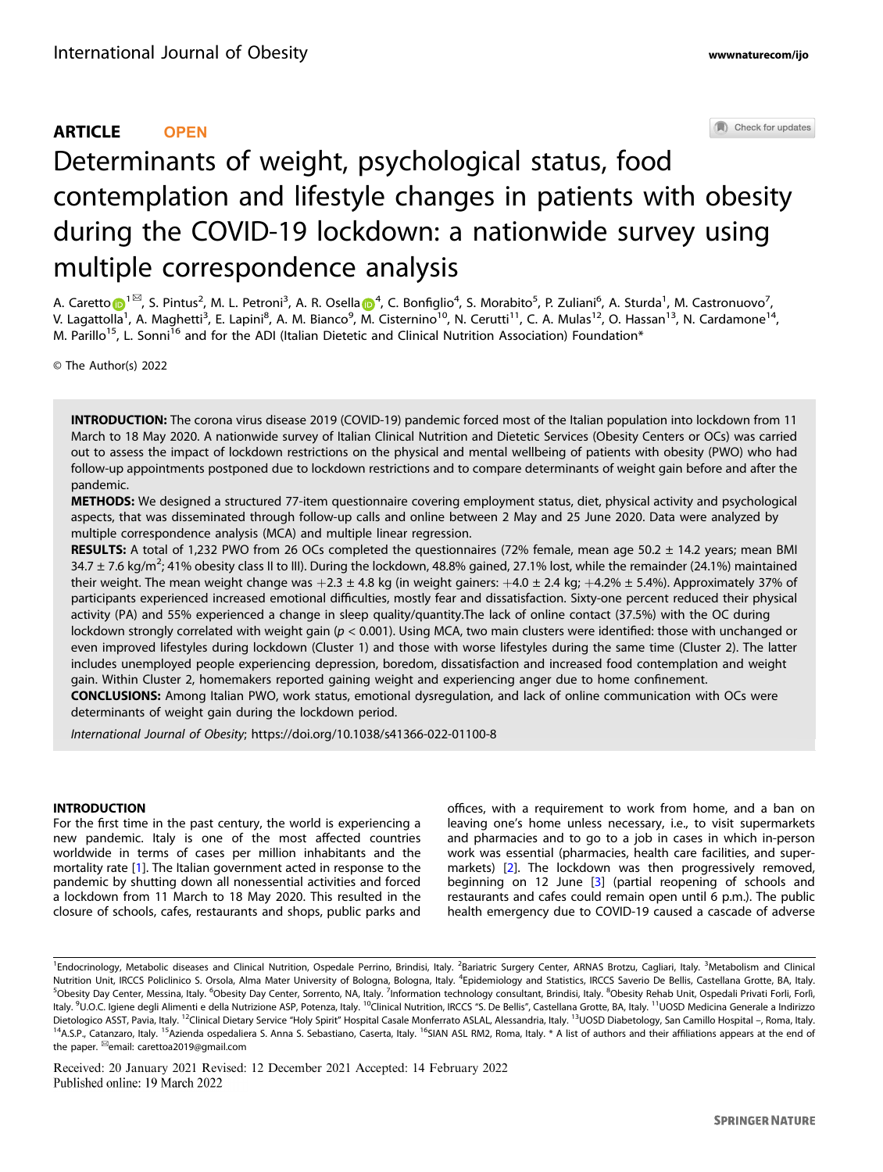## ARTICLE **OPEN**

Check for updates

# Determinants of weight, psychological status, food contemplation and lifestyle changes in patients with obesity during the COVID-19 lockdown: a nationwide survey using multiple correspondence analysis

A. Caretto $\bigoplus^{1\boxtimes}$ , S. Pintus<sup>2</sup>, M. L. Petroni<sup>3</sup>, A. R. Osella $\bigoplus^4$ , C. Bonfiglio<sup>4</sup>, S. Morabito<sup>5</sup>, P. Zuliani<sup>6</sup>, A. Sturda<sup>1</sup>, M. Castronuovo<sup>7</sup>, V. Lagattolla<sup>1</sup>, A. Maghetti<sup>3</sup>, E. Lapini<sup>8</sup>, A. M. Bianco<sup>9</sup>, M. Cisternino<sup>10</sup>, N. Cerutti<sup>11</sup>, C. A. Mulas<sup>12</sup>, O. Hassan<sup>13</sup>, N. Cardamone<sup>14</sup>, M. Parillo<sup>15</sup>, L. Sonni<sup>16</sup> and for the ADI (Italian Dietetic and Clinical Nutrition Association) Foundation\*

© The Author(s) 2022

INTRODUCTION: The corona virus disease 2019 (COVID-19) pandemic forced most of the Italian population into lockdown from 11 March to 18 May 2020. A nationwide survey of Italian Clinical Nutrition and Dietetic Services (Obesity Centers or OCs) was carried out to assess the impact of lockdown restrictions on the physical and mental wellbeing of patients with obesity (PWO) who had follow-up appointments postponed due to lockdown restrictions and to compare determinants of weight gain before and after the pandemic.

METHODS: We designed a structured 77-item questionnaire covering employment status, diet, physical activity and psychological aspects, that was disseminated through follow-up calls and online between 2 May and 25 June 2020. Data were analyzed by multiple correspondence analysis (MCA) and multiple linear regression.

RESULTS: A total of 1,232 PWO from 26 OCs completed the questionnaires (72% female, mean age 50.2  $\pm$  14.2 years; mean BMI 34.7  $\pm$  7.6 kg/m<sup>2</sup>; 41% obesity class II to III). During the lockdown, 48.8% gained, 27.1% lost, while the remainder (24.1%) maintained their weight. The mean weight change was  $+2.3 \pm 4.8$  kg (in weight gainers:  $+4.0 \pm 2.4$  kg;  $+4.2\% \pm 5.4$ %). Approximately 37% of participants experienced increased emotional difficulties, mostly fear and dissatisfaction. Sixty-one percent reduced their physical activity (PA) and 55% experienced a change in sleep quality/quantity.The lack of online contact (37.5%) with the OC during lockdown strongly correlated with weight gain ( $p < 0.001$ ). Using MCA, two main clusters were identified: those with unchanged or even improved lifestyles during lockdown (Cluster 1) and those with worse lifestyles during the same time (Cluster 2). The latter includes unemployed people experiencing depression, boredom, dissatisfaction and increased food contemplation and weight gain. Within Cluster 2, homemakers reported gaining weight and experiencing anger due to home confinement.

CONCLUSIONS: Among Italian PWO, work status, emotional dysregulation, and lack of online communication with OCs were determinants of weight gain during the lockdown period.

International Journal of Obesity; https://doi.org/10.1038/s41366-022-01100-8

#### INTRODUCTION

For the first time in the past century, the world is experiencing a new pandemic. Italy is one of the most affected countries worldwide in terms of cases per million inhabitants and the mortality rate [\[1\]](#page-6-0). The Italian government acted in response to the pandemic by shutting down all nonessential activities and forced a lockdown from 11 March to 18 May 2020. This resulted in the closure of schools, cafes, restaurants and shops, public parks and offices, with a requirement to work from home, and a ban on leaving one's home unless necessary, i.e., to visit supermarkets and pharmacies and to go to a job in cases in which in-person work was essential (pharmacies, health care facilities, and supermarkets) [\[2\]](#page-6-0). The lockdown was then progressively removed, beginning on 12 June [\[3\]](#page-6-0) (partial reopening of schools and restaurants and cafes could remain open until 6 p.m.). The public health emergency due to COVID-19 caused a cascade of adverse

Received: 20 January 2021 Revised: 12 December 2021 Accepted: 14 February 2022 Published online: 19 March 2022

<sup>&</sup>lt;sup>1</sup>Endocrinology, Metabolic diseases and Clinical Nutrition, Ospedale Perrino, Brindisi, Italy. <sup>2</sup>Bariatric Surgery Center, ARNAS Brotzu, Cagliari, Italy. <sup>3</sup>Metabolism and Clinical Nutrition Unit, IRCCS Policlinico S. Orsola, Alma Mater University of Bologna, Bologna, Italy. <sup>4</sup>Epidemiology and Statistics, IRCCS Saverio De Bellis, Castellana Grotte, BA, Italy. <sup>5</sup>Obesity Day Center, Messina, Italy. <sup>6</sup>Obesity Day Center, Sorrento, NA, Italy. <sup>7</sup>Information technology consultant, Brindisi, Italy. <sup>8</sup>Obesity Rehab Unit, Ospedali Privati Forli, Forlì, Italy. <sup>9</sup>U.O.C. Igiene degli Alimenti e della Nutrizione ASP, Potenza, Italy. <sup>10</sup>Clinical Nutrition, IRCCS "S. De Bellis", Castellana Grotte, BA, Italy. <sup>11</sup>UOSD Medicina Generale a Indirizzo Dietologico ASST, Pavia, Italy. <sup>12</sup>Clinical Dietary Service "Holy Spirit" Hospital Casale Monferrato ASLAL, Alessandria, Italy. <sup>13</sup>UOSD Diabetology, San Camillo Hospital -, Roma, Italy. <sup>14</sup>A.S.P., Catanzaro, Italy. <sup>15</sup>Azienda ospedaliera S. Anna S. Sebastiano, Caserta, Italy. <sup>16</sup>SIAN ASL RM2, Roma, Italy. \* A list of authors and their affiliations appears at the end of the paper. <sup>⊠</sup>email: carettoa2019@gmail.com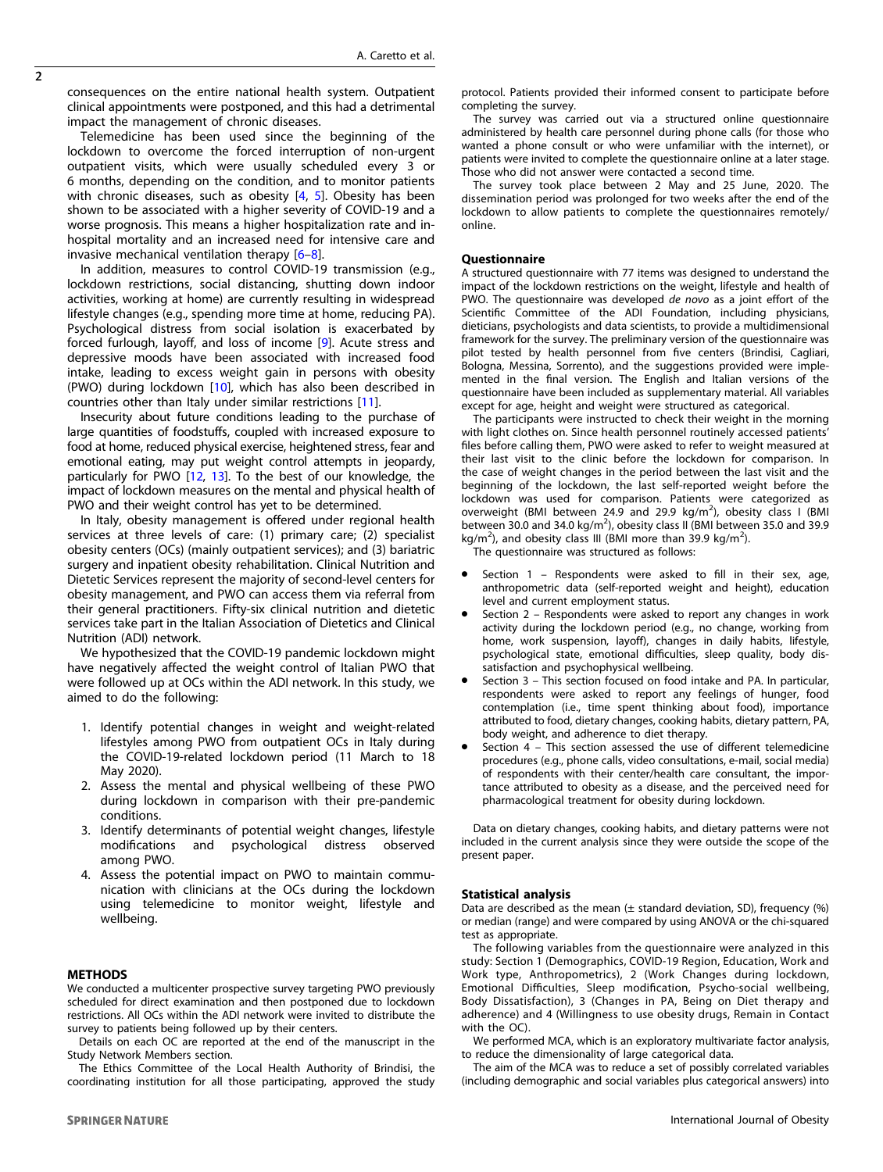consequences on the entire national health system. Outpatient clinical appointments were postponed, and this had a detrimental impact the management of chronic diseases.

Telemedicine has been used since the beginning of the lockdown to overcome the forced interruption of non-urgent outpatient visits, which were usually scheduled every 3 or 6 months, depending on the condition, and to monitor patients with chronic diseases, such as obesity  $[4, 5]$  $[4, 5]$  $[4, 5]$  $[4, 5]$ . Obesity has been shown to be associated with a higher severity of COVID-19 and a worse prognosis. This means a higher hospitalization rate and inhospital mortality and an increased need for intensive care and invasive mechanical ventilation therapy [[6](#page-6-0)–[8\]](#page-6-0).

In addition, measures to control COVID-19 transmission (e.g., lockdown restrictions, social distancing, shutting down indoor activities, working at home) are currently resulting in widespread lifestyle changes (e.g., spending more time at home, reducing PA). Psychological distress from social isolation is exacerbated by forced furlough, layoff, and loss of income [[9](#page-6-0)]. Acute stress and depressive moods have been associated with increased food intake, leading to excess weight gain in persons with obesity (PWO) during lockdown [\[10](#page-6-0)], which has also been described in countries other than Italy under similar restrictions [[11\]](#page-6-0).

Insecurity about future conditions leading to the purchase of large quantities of foodstuffs, coupled with increased exposure to food at home, reduced physical exercise, heightened stress, fear and emotional eating, may put weight control attempts in jeopardy, particularly for PWO [\[12,](#page-6-0) [13](#page-7-0)]. To the best of our knowledge, the impact of lockdown measures on the mental and physical health of PWO and their weight control has yet to be determined.

In Italy, obesity management is offered under regional health services at three levels of care: (1) primary care; (2) specialist obesity centers (OCs) (mainly outpatient services); and (3) bariatric surgery and inpatient obesity rehabilitation. Clinical Nutrition and Dietetic Services represent the majority of second-level centers for obesity management, and PWO can access them via referral from their general practitioners. Fifty-six clinical nutrition and dietetic services take part in the Italian Association of Dietetics and Clinical Nutrition (ADI) network.

We hypothesized that the COVID-19 pandemic lockdown might have negatively affected the weight control of Italian PWO that were followed up at OCs within the ADI network. In this study, we aimed to do the following:

- 1. Identify potential changes in weight and weight-related lifestyles among PWO from outpatient OCs in Italy during the COVID-19-related lockdown period (11 March to 18 May 2020).
- 2. Assess the mental and physical wellbeing of these PWO during lockdown in comparison with their pre-pandemic conditions.
- 3. Identify determinants of potential weight changes, lifestyle modifications and psychological distress observed among PWO.
- 4. Assess the potential impact on PWO to maintain communication with clinicians at the OCs during the lockdown using telemedicine to monitor weight, lifestyle and wellbeing.

#### METHODS

We conducted a multicenter prospective survey targeting PWO previously scheduled for direct examination and then postponed due to lockdown restrictions. All OCs within the ADI network were invited to distribute the survey to patients being followed up by their centers.

Details on each OC are reported at the end of the manuscript in the Study Network Members section.

The Ethics Committee of the Local Health Authority of Brindisi, the coordinating institution for all those participating, approved the study protocol. Patients provided their informed consent to participate before completing the survey.

The survey was carried out via a structured online questionnaire administered by health care personnel during phone calls (for those who wanted a phone consult or who were unfamiliar with the internet), or patients were invited to complete the questionnaire online at a later stage. Those who did not answer were contacted a second time.

The survey took place between 2 May and 25 June, 2020. The dissemination period was prolonged for two weeks after the end of the lockdown to allow patients to complete the questionnaires remotely/ online.

#### Questionnaire

A structured questionnaire with 77 items was designed to understand the impact of the lockdown restrictions on the weight, lifestyle and health of PWO. The questionnaire was developed de novo as a joint effort of the Scientific Committee of the ADI Foundation, including physicians, dieticians, psychologists and data scientists, to provide a multidimensional framework for the survey. The preliminary version of the questionnaire was pilot tested by health personnel from five centers (Brindisi, Cagliari, Bologna, Messina, Sorrento), and the suggestions provided were implemented in the final version. The English and Italian versions of the questionnaire have been included as supplementary material. All variables except for age, height and weight were structured as categorical.

The participants were instructed to check their weight in the morning with light clothes on. Since health personnel routinely accessed patients' files before calling them, PWO were asked to refer to weight measured at their last visit to the clinic before the lockdown for comparison. In the case of weight changes in the period between the last visit and the beginning of the lockdown, the last self-reported weight before the lockdown was used for comparison. Patients were categorized as overweight (BMI between 24.9 and 29.9  $kg/m^2$ ), obesity class I (BMI between 30.0 and 34.0 kg/m<sup>2</sup>), obesity class II (BMI between 35.0 and 39.9 kg/m<sup>2</sup>), and obesity class III (BMI more than 39.9 kg/m<sup>2</sup>).

The questionnaire was structured as follows:

- Section 1 Respondents were asked to fill in their sex, age, anthropometric data (self-reported weight and height), education level and current employment status.
- Section 2 Respondents were asked to report any changes in work activity during the lockdown period (e.g., no change, working from home, work suspension, layoff), changes in daily habits, lifestyle, psychological state, emotional difficulties, sleep quality, body dissatisfaction and psychophysical wellbeing.
- Section 3 This section focused on food intake and PA. In particular, respondents were asked to report any feelings of hunger, food contemplation (i.e., time spent thinking about food), importance attributed to food, dietary changes, cooking habits, dietary pattern, PA, body weight, and adherence to diet therapy.
- Section  $4$  This section assessed the use of different telemedicine procedures (e.g., phone calls, video consultations, e-mail, social media) of respondents with their center/health care consultant, the importance attributed to obesity as a disease, and the perceived need for pharmacological treatment for obesity during lockdown.

Data on dietary changes, cooking habits, and dietary patterns were not included in the current analysis since they were outside the scope of the present paper.

#### Statistical analysis

Data are described as the mean  $(\pm$  standard deviation, SD), frequency  $(\%)$ or median (range) and were compared by using ANOVA or the chi-squared test as appropriate.

The following variables from the questionnaire were analyzed in this study: Section 1 (Demographics, COVID-19 Region, Education, Work and Work type, Anthropometrics), 2 (Work Changes during lockdown, Emotional Difficulties, Sleep modification, Psycho-social wellbeing, Body Dissatisfaction), 3 (Changes in PA, Being on Diet therapy and adherence) and 4 (Willingness to use obesity drugs, Remain in Contact with the OC).

We performed MCA, which is an exploratory multivariate factor analysis, to reduce the dimensionality of large categorical data.

The aim of the MCA was to reduce a set of possibly correlated variables (including demographic and social variables plus categorical answers) into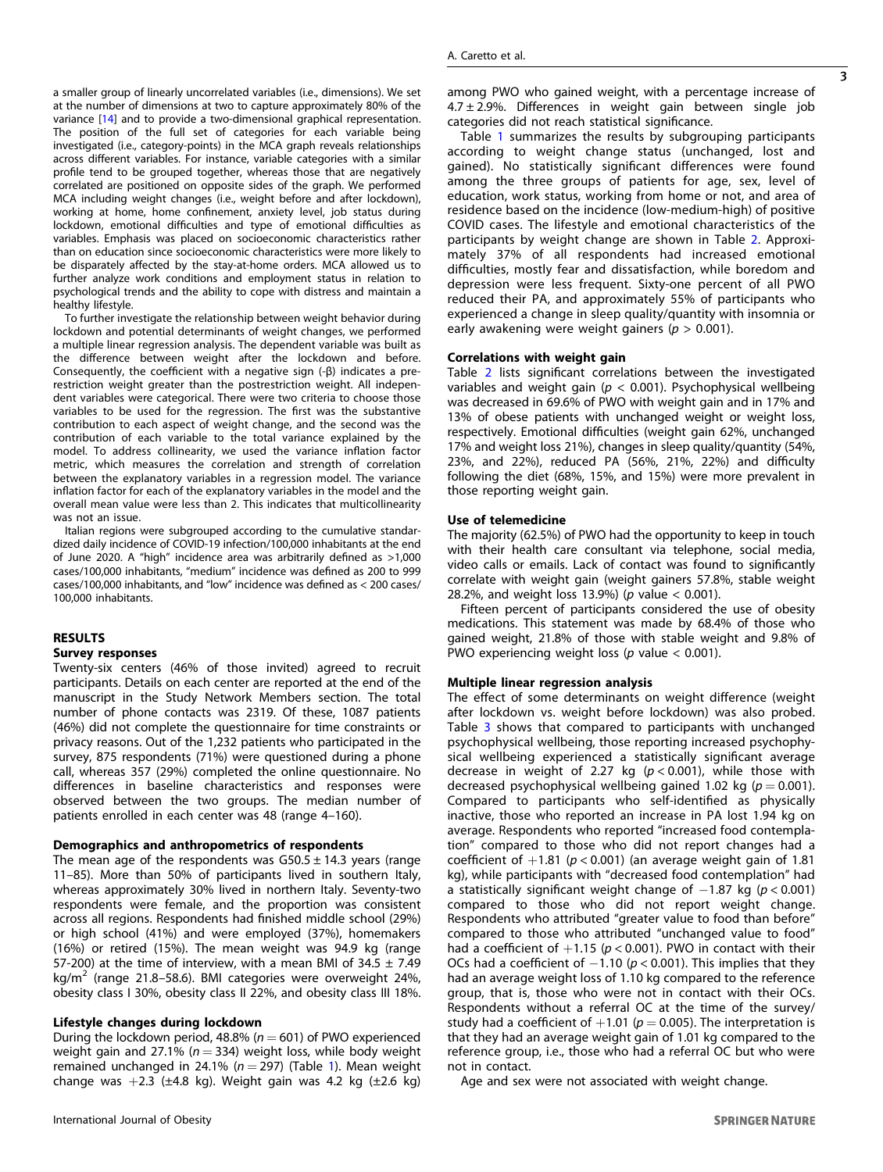a smaller group of linearly uncorrelated variables (i.e., dimensions). We set at the number of dimensions at two to capture approximately 80% of the variance [[14\]](#page-7-0) and to provide a two-dimensional graphical representation. The position of the full set of categories for each variable being investigated (i.e., category-points) in the MCA graph reveals relationships across different variables. For instance, variable categories with a similar profile tend to be grouped together, whereas those that are negatively correlated are positioned on opposite sides of the graph. We performed MCA including weight changes (i.e., weight before and after lockdown), working at home, home confinement, anxiety level, job status during lockdown, emotional difficulties and type of emotional difficulties as variables. Emphasis was placed on socioeconomic characteristics rather than on education since socioeconomic characteristics were more likely to be disparately affected by the stay-at-home orders. MCA allowed us to further analyze work conditions and employment status in relation to psychological trends and the ability to cope with distress and maintain a healthy lifestyle.

To further investigate the relationship between weight behavior during lockdown and potential determinants of weight changes, we performed a multiple linear regression analysis. The dependent variable was built as the difference between weight after the lockdown and before. Consequently, the coefficient with a negative sign (-β) indicates a prerestriction weight greater than the postrestriction weight. All independent variables were categorical. There were two criteria to choose those variables to be used for the regression. The first was the substantive contribution to each aspect of weight change, and the second was the contribution of each variable to the total variance explained by the model. To address collinearity, we used the variance inflation factor metric, which measures the correlation and strength of correlation between the explanatory variables in a regression model. The variance inflation factor for each of the explanatory variables in the model and the overall mean value were less than 2. This indicates that multicollinearity was not an issue.

Italian regions were subgrouped according to the cumulative standardized daily incidence of COVID-19 infection/100,000 inhabitants at the end of June 2020. A "high" incidence area was arbitrarily defined as >1,000 cases/100,000 inhabitants, "medium" incidence was defined as 200 to 999 cases/100,000 inhabitants, and "low" incidence was defined as < 200 cases/ 100,000 inhabitants.

## **RESULTS**

## Survey responses

Twenty-six centers (46% of those invited) agreed to recruit participants. Details on each center are reported at the end of the manuscript in the Study Network Members section. The total number of phone contacts was 2319. Of these, 1087 patients (46%) did not complete the questionnaire for time constraints or privacy reasons. Out of the 1,232 patients who participated in the survey, 875 respondents (71%) were questioned during a phone call, whereas 357 (29%) completed the online questionnaire. No differences in baseline characteristics and responses were observed between the two groups. The median number of patients enrolled in each center was 48 (range 4–160).

#### Demographics and anthropometrics of respondents

The mean age of the respondents was  $G50.5 \pm 14.3$  years (range 11–85). More than 50% of participants lived in southern Italy, whereas approximately 30% lived in northern Italy. Seventy-two respondents were female, and the proportion was consistent across all regions. Respondents had finished middle school (29%) or high school (41%) and were employed (37%), homemakers (16%) or retired (15%). The mean weight was 94.9 kg (range 57-200) at the time of interview, with a mean BMI of  $34.5 \pm 7.49$ kg/ $m^2$  (range 21.8–58.6). BMI categories were overweight 24%, obesity class I 30%, obesity class II 22%, and obesity class III 18%.

#### Lifestyle changes during lockdown

During the lockdown period, 48.8% ( $n = 601$ ) of PWO experienced weight gain and 27.1% ( $n = 334$ ) weight loss, while body weight remained unchanged in 24.1% ( $n = 297$ ) (Table [1\)](#page-3-0). Mean weight change was  $+2.3$  ( $\pm 4.8$  kg). Weight gain was 4.2 kg ( $\pm 2.6$  kg)

3

Table [1](#page-3-0) summarizes the results by subgrouping participants according to weight change status (unchanged, lost and gained). No statistically significant differences were found among the three groups of patients for age, sex, level of education, work status, working from home or not, and area of residence based on the incidence (low-medium-high) of positive COVID cases. The lifestyle and emotional characteristics of the participants by weight change are shown in Table [2](#page-4-0). Approximately 37% of all respondents had increased emotional difficulties, mostly fear and dissatisfaction, while boredom and depression were less frequent. Sixty-one percent of all PWO reduced their PA, and approximately 55% of participants who experienced a change in sleep quality/quantity with insomnia or early awakening were weight gainers ( $p > 0.001$ ).

#### Correlations with weight gain

Table [2](#page-4-0) lists significant correlations between the investigated variables and weight gain ( $p < 0.001$ ). Psychophysical wellbeing was decreased in 69.6% of PWO with weight gain and in 17% and 13% of obese patients with unchanged weight or weight loss, respectively. Emotional difficulties (weight gain 62%, unchanged 17% and weight loss 21%), changes in sleep quality/quantity (54%, 23%, and 22%), reduced PA (56%, 21%, 22%) and difficulty following the diet (68%, 15%, and 15%) were more prevalent in those reporting weight gain.

#### Use of telemedicine

The majority (62.5%) of PWO had the opportunity to keep in touch with their health care consultant via telephone, social media, video calls or emails. Lack of contact was found to significantly correlate with weight gain (weight gainers 57.8%, stable weight 28.2%, and weight loss 13.9%) (p value  $< 0.001$ ).

Fifteen percent of participants considered the use of obesity medications. This statement was made by 68.4% of those who gained weight, 21.8% of those with stable weight and 9.8% of PWO experiencing weight loss ( $p$  value < 0.001).

#### Multiple linear regression analysis

The effect of some determinants on weight difference (weight after lockdown vs. weight before lockdown) was also probed. Table [3](#page-5-0) shows that compared to participants with unchanged psychophysical wellbeing, those reporting increased psychophysical wellbeing experienced a statistically significant average decrease in weight of 2.27 kg  $(p < 0.001)$ , while those with decreased psychophysical wellbeing gained 1.02 kg ( $p = 0.001$ ). Compared to participants who self-identified as physically inactive, those who reported an increase in PA lost 1.94 kg on average. Respondents who reported "increased food contemplation" compared to those who did not report changes had a coefficient of  $+1.81$  ( $p < 0.001$ ) (an average weight gain of 1.81 kg), while participants with "decreased food contemplation" had a statistically significant weight change of  $-1.87$  kg ( $p < 0.001$ ) compared to those who did not report weight change. Respondents who attributed "greater value to food than before" compared to those who attributed "unchanged value to food" had a coefficient of  $+1.15$  ( $p < 0.001$ ). PWO in contact with their OCs had a coefficient of  $-1.10$  ( $p < 0.001$ ). This implies that they had an average weight loss of 1.10 kg compared to the reference group, that is, those who were not in contact with their OCs. Respondents without a referral OC at the time of the survey/ study had a coefficient of  $+1.01$  ( $p = 0.005$ ). The interpretation is that they had an average weight gain of 1.01 kg compared to the reference group, i.e., those who had a referral OC but who were not in contact.

Age and sex were not associated with weight change.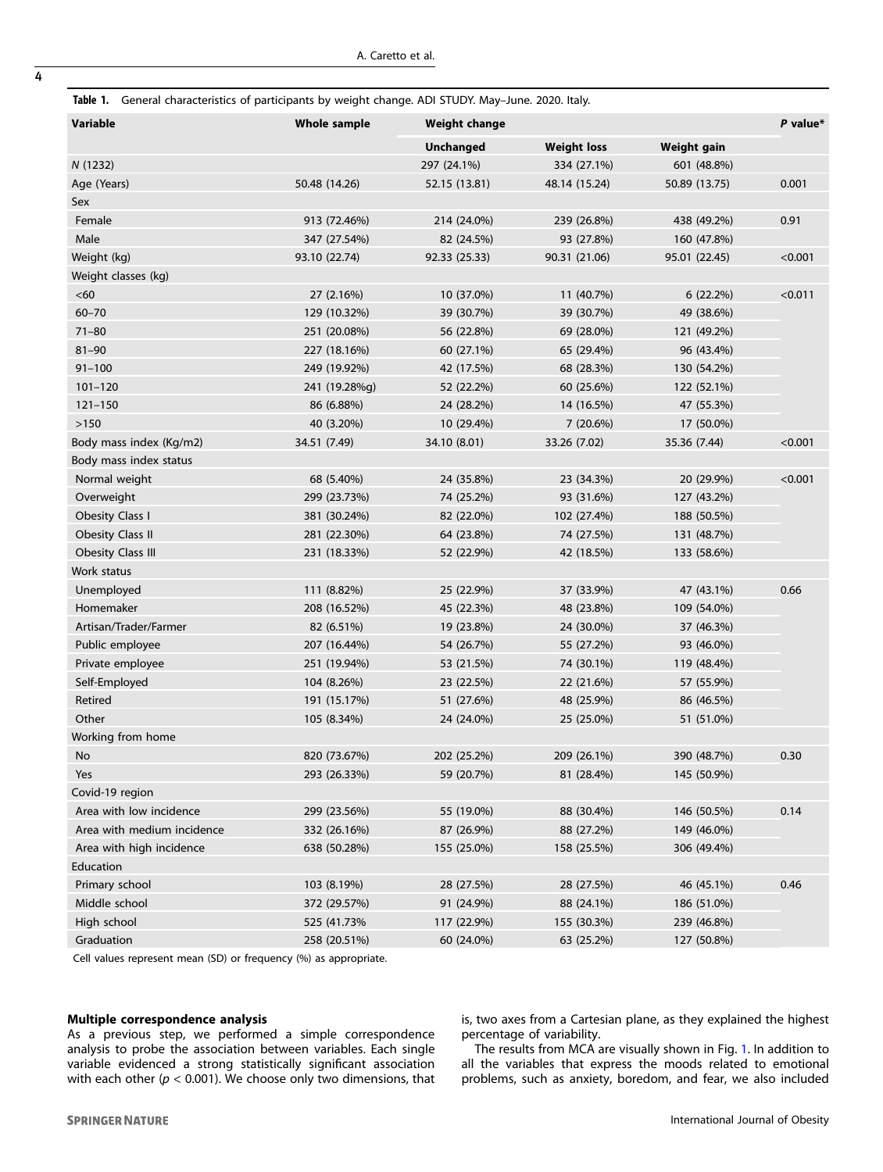<span id="page-3-0"></span>Table 1. General characteristics of participants by weight change. ADI STUDY. May–June. 2020. Italy.

| Variable                   | <b>Whole sample</b> | <b>Weight change</b> | P value*           |               |         |
|----------------------------|---------------------|----------------------|--------------------|---------------|---------|
|                            |                     | <b>Unchanged</b>     | <b>Weight loss</b> | Weight gain   |         |
| N(1232)                    |                     | 297 (24.1%)          | 334 (27.1%)        | 601 (48.8%)   |         |
| Age (Years)                | 50.48 (14.26)       | 52.15 (13.81)        | 48.14 (15.24)      | 50.89 (13.75) | 0.001   |
| Sex                        |                     |                      |                    |               |         |
| Female                     | 913 (72.46%)        | 214 (24.0%)          | 239 (26.8%)        | 438 (49.2%)   | 0.91    |
| Male                       | 347 (27.54%)        | 82 (24.5%)           | 93 (27.8%)         | 160 (47.8%)   |         |
| Weight (kg)                | 93.10 (22.74)       | 92.33 (25.33)        | 90.31 (21.06)      | 95.01 (22.45) | < 0.001 |
| Weight classes (kg)        |                     |                      |                    |               |         |
| <60                        | 27 (2.16%)          | 10 (37.0%)           | 11 (40.7%)         | 6(22.2%)      | < 0.011 |
| $60 - 70$                  | 129 (10.32%)        | 39 (30.7%)           | 39 (30.7%)         | 49 (38.6%)    |         |
| $71 - 80$                  | 251 (20.08%)        | 56 (22.8%)           | 69 (28.0%)         | 121 (49.2%)   |         |
| $81 - 90$                  | 227 (18.16%)        | 60 (27.1%)           | 65 (29.4%)         | 96 (43.4%)    |         |
| $91 - 100$                 | 249 (19.92%)        | 42 (17.5%)           | 68 (28.3%)         | 130 (54.2%)   |         |
| $101 - 120$                | 241 (19.28%g)       | 52 (22.2%)           | 60 (25.6%)         | 122 (52.1%)   |         |
| $121 - 150$                | 86 (6.88%)          | 24 (28.2%)           | 14 (16.5%)         | 47 (55.3%)    |         |
| >150                       | 40 (3.20%)          | 10 (29.4%)           | 7(20.6%)           | 17 (50.0%)    |         |
| Body mass index (Kg/m2)    | 34.51 (7.49)        | 34.10 (8.01)         | 33.26 (7.02)       | 35.36 (7.44)  | < 0.001 |
| Body mass index status     |                     |                      |                    |               |         |
| Normal weight              | 68 (5.40%)          | 24 (35.8%)           | 23 (34.3%)         | 20 (29.9%)    | < 0.001 |
| Overweight                 | 299 (23.73%)        | 74 (25.2%)           | 93 (31.6%)         | 127 (43.2%)   |         |
| Obesity Class I            | 381 (30.24%)        | 82 (22.0%)           | 102 (27.4%)        | 188 (50.5%)   |         |
| <b>Obesity Class II</b>    | 281 (22.30%)        | 64 (23.8%)           | 74 (27.5%)         | 131 (48.7%)   |         |
| <b>Obesity Class III</b>   | 231 (18.33%)        | 52 (22.9%)           | 42 (18.5%)         | 133 (58.6%)   |         |
| Work status                |                     |                      |                    |               |         |
| Unemployed                 | 111 (8.82%)         | 25 (22.9%)           | 37 (33.9%)         | 47 (43.1%)    | 0.66    |
| Homemaker                  | 208 (16.52%)        | 45 (22.3%)           | 48 (23.8%)         | 109 (54.0%)   |         |
| Artisan/Trader/Farmer      | 82 (6.51%)          | 19 (23.8%)           | 24 (30.0%)         | 37 (46.3%)    |         |
| Public employee            | 207 (16.44%)        | 54 (26.7%)           | 55 (27.2%)         | 93 (46.0%)    |         |
| Private employee           | 251 (19.94%)        | 53 (21.5%)           | 74 (30.1%)         | 119 (48.4%)   |         |
| Self-Employed              | 104 (8.26%)         | 23 (22.5%)           | 22 (21.6%)         | 57 (55.9%)    |         |
| Retired                    | 191 (15.17%)        | 51 (27.6%)           | 48 (25.9%)         | 86 (46.5%)    |         |
| Other                      | 105 (8.34%)         | 24 (24.0%)           | 25 (25.0%)         | 51 (51.0%)    |         |
| Working from home          |                     |                      |                    |               |         |
| No                         | 820 (73.67%)        | 202 (25.2%)          | 209 (26.1%)        | 390 (48.7%)   | 0.30    |
| Yes                        | 293 (26.33%)        | 59 (20.7%)           | 81 (28.4%)         | 145 (50.9%)   |         |
| Covid-19 region            |                     |                      |                    |               |         |
| Area with low incidence    | 299 (23.56%)        | 55 (19.0%)           | 88 (30.4%)         | 146 (50.5%)   | 0.14    |
| Area with medium incidence | 332 (26.16%)        | 87 (26.9%)           | 88 (27.2%)         | 149 (46.0%)   |         |
| Area with high incidence   | 638 (50.28%)        | 155 (25.0%)          | 158 (25.5%)        | 306 (49.4%)   |         |
| Education                  |                     |                      |                    |               |         |
| Primary school             | 103 (8.19%)         | 28 (27.5%)           | 28 (27.5%)         | 46 (45.1%)    | 0.46    |
| Middle school              | 372 (29.57%)        | 91 (24.9%)           | 88 (24.1%)         | 186 (51.0%)   |         |
| High school                | 525 (41.73%)        | 117 (22.9%)          | 155 (30.3%)        | 239 (46.8%)   |         |
| Graduation                 | 258 (20.51%)        | 60 (24.0%)           | 63 (25.2%)         | 127 (50.8%)   |         |

Cell values represent mean (SD) or frequency (%) as appropriate.

## Multiple correspondence analysis

As a previous step, we performed a simple correspondence analysis to probe the association between variables. Each single variable evidenced a strong statistically significant association with each other ( $p < 0.001$ ). We choose only two dimensions, that is, two axes from a Cartesian plane, as they explained the highest percentage of variability.

The results from MCA are visually shown in Fig. [1](#page-5-0). In addition to all the variables that express the moods related to emotional problems, such as anxiety, boredom, and fear, we also included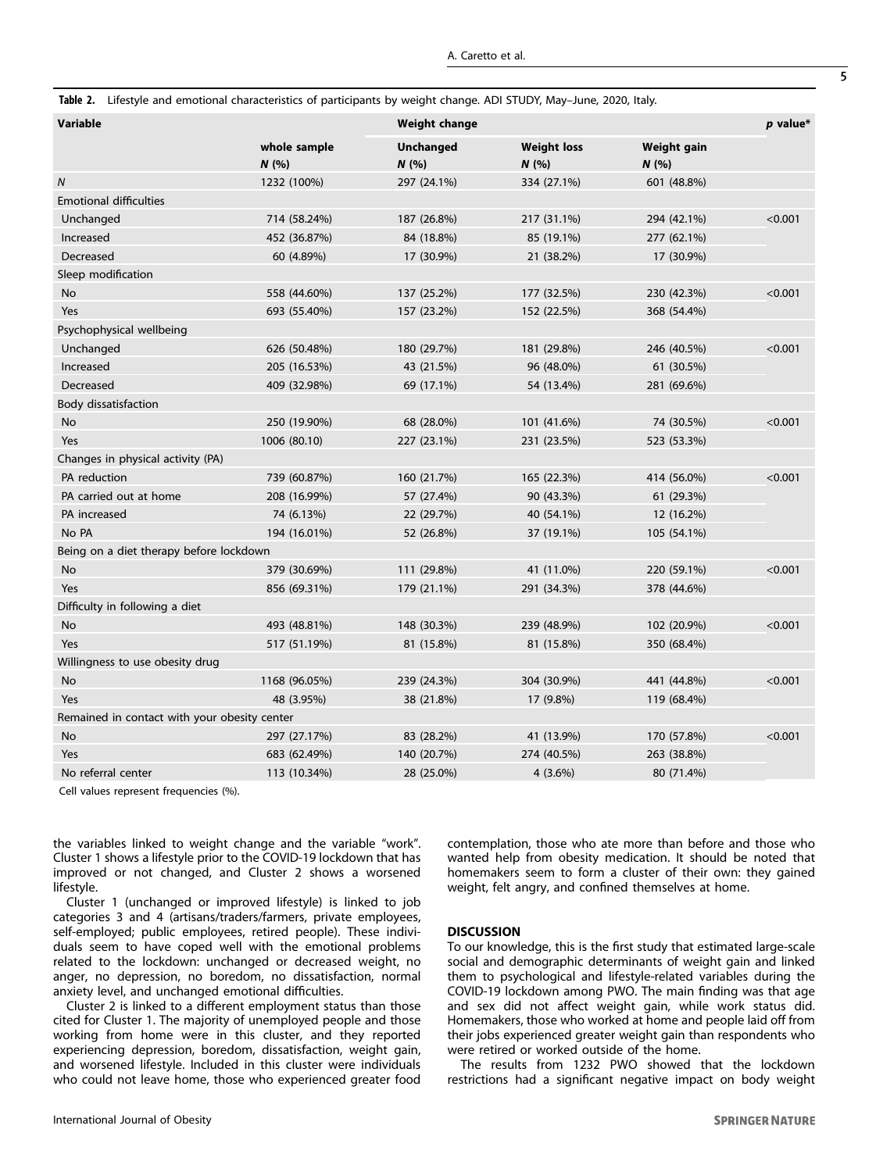<span id="page-4-0"></span>

|  |  | Table 2. Lifestyle and emotional characteristics of participants by weight change. ADI STUDY, May-June, 2020, Italy. |  |  |  |
|--|--|----------------------------------------------------------------------------------------------------------------------|--|--|--|
|  |  |                                                                                                                      |  |  |  |

| <b>Variable</b>                              |                      | <b>Weight change</b>    |                           |                    |         |
|----------------------------------------------|----------------------|-------------------------|---------------------------|--------------------|---------|
|                                              | whole sample<br>N(%) | <b>Unchanged</b><br>N(% | <b>Weight loss</b><br>N(% | Weight gain<br>N(% |         |
| $\overline{N}$                               | 1232 (100%)          | 297 (24.1%)             | 334 (27.1%)               | 601 (48.8%)        |         |
| <b>Emotional difficulties</b>                |                      |                         |                           |                    |         |
| Unchanged                                    | 714 (58.24%)         | 187 (26.8%)             | 217 (31.1%)               | 294 (42.1%)        | < 0.001 |
| Increased                                    | 452 (36.87%)         | 84 (18.8%)              | 85 (19.1%)                | 277 (62.1%)        |         |
| Decreased                                    | 60 (4.89%)           | 17 (30.9%)              | 21 (38.2%)                | 17 (30.9%)         |         |
| Sleep modification                           |                      |                         |                           |                    |         |
| No                                           | 558 (44.60%)         | 137 (25.2%)             | 177 (32.5%)               | 230 (42.3%)        | < 0.001 |
| Yes                                          | 693 (55.40%)         | 157 (23.2%)             | 152 (22.5%)               | 368 (54.4%)        |         |
| Psychophysical wellbeing                     |                      |                         |                           |                    |         |
| Unchanged                                    | 626 (50.48%)         | 180 (29.7%)             | 181 (29.8%)               | 246 (40.5%)        | < 0.001 |
| Increased                                    | 205 (16.53%)         | 43 (21.5%)              | 96 (48.0%)                | 61 (30.5%)         |         |
| Decreased                                    | 409 (32.98%)         | 69 (17.1%)              | 54 (13.4%)                | 281 (69.6%)        |         |
| Body dissatisfaction                         |                      |                         |                           |                    |         |
| No                                           | 250 (19.90%)         | 68 (28.0%)              | 101 (41.6%)               | 74 (30.5%)         | < 0.001 |
| Yes                                          | 1006 (80.10)         | 227 (23.1%)             | 231 (23.5%)               | 523 (53.3%)        |         |
| Changes in physical activity (PA)            |                      |                         |                           |                    |         |
| PA reduction                                 | 739 (60.87%)         | 160 (21.7%)             | 165 (22.3%)               | 414 (56.0%)        | < 0.001 |
| PA carried out at home                       | 208 (16.99%)         | 57 (27.4%)              | 90 (43.3%)                | 61 (29.3%)         |         |
| PA increased                                 | 74 (6.13%)           | 22 (29.7%)              | 40 (54.1%)                | 12 (16.2%)         |         |
| No PA                                        | 194 (16.01%)         | 52 (26.8%)              | 37 (19.1%)                | 105 (54.1%)        |         |
| Being on a diet therapy before lockdown      |                      |                         |                           |                    |         |
| <b>No</b>                                    | 379 (30.69%)         | 111 (29.8%)             | 41 (11.0%)                | 220 (59.1%)        | < 0.001 |
| Yes                                          | 856 (69.31%)         | 179 (21.1%)             | 291 (34.3%)               | 378 (44.6%)        |         |
| Difficulty in following a diet               |                      |                         |                           |                    |         |
| No                                           | 493 (48.81%)         | 148 (30.3%)             | 239 (48.9%)               | 102 (20.9%)        | < 0.001 |
| Yes                                          | 517 (51.19%)         | 81 (15.8%)              | 81 (15.8%)                | 350 (68.4%)        |         |
| Willingness to use obesity drug              |                      |                         |                           |                    |         |
| <b>No</b>                                    | 1168 (96.05%)        | 239 (24.3%)             | 304 (30.9%)               | 441 (44.8%)        | < 0.001 |
| Yes                                          | 48 (3.95%)           | 38 (21.8%)              | 17 (9.8%)                 | 119 (68.4%)        |         |
| Remained in contact with your obesity center |                      |                         |                           |                    |         |
| No                                           | 297 (27.17%)         | 83 (28.2%)              | 41 (13.9%)                | 170 (57.8%)        | < 0.001 |
| Yes                                          | 683 (62.49%)         | 140 (20.7%)             | 274 (40.5%)               | 263 (38.8%)        |         |
| No referral center                           | 113 (10.34%)         | 28 (25.0%)              | $4(3.6\%)$                | 80 (71.4%)         |         |

Cell values represent frequencies (%).

the variables linked to weight change and the variable "work". Cluster 1 shows a lifestyle prior to the COVID-19 lockdown that has improved or not changed, and Cluster 2 shows a worsened lifestyle.

Cluster 1 (unchanged or improved lifestyle) is linked to job categories 3 and 4 (artisans/traders/farmers, private employees, self-employed; public employees, retired people). These individuals seem to have coped well with the emotional problems related to the lockdown: unchanged or decreased weight, no anger, no depression, no boredom, no dissatisfaction, normal anxiety level, and unchanged emotional difficulties.

Cluster 2 is linked to a different employment status than those cited for Cluster 1. The majority of unemployed people and those working from home were in this cluster, and they reported experiencing depression, boredom, dissatisfaction, weight gain, and worsened lifestyle. Included in this cluster were individuals who could not leave home, those who experienced greater food contemplation, those who ate more than before and those who wanted help from obesity medication. It should be noted that homemakers seem to form a cluster of their own: they gained weight, felt angry, and confined themselves at home.

## DISCUSSION

To our knowledge, this is the first study that estimated large-scale social and demographic determinants of weight gain and linked them to psychological and lifestyle-related variables during the COVID-19 lockdown among PWO. The main finding was that age and sex did not affect weight gain, while work status did. Homemakers, those who worked at home and people laid off from their jobs experienced greater weight gain than respondents who were retired or worked outside of the home.

The results from 1232 PWO showed that the lockdown restrictions had a significant negative impact on body weight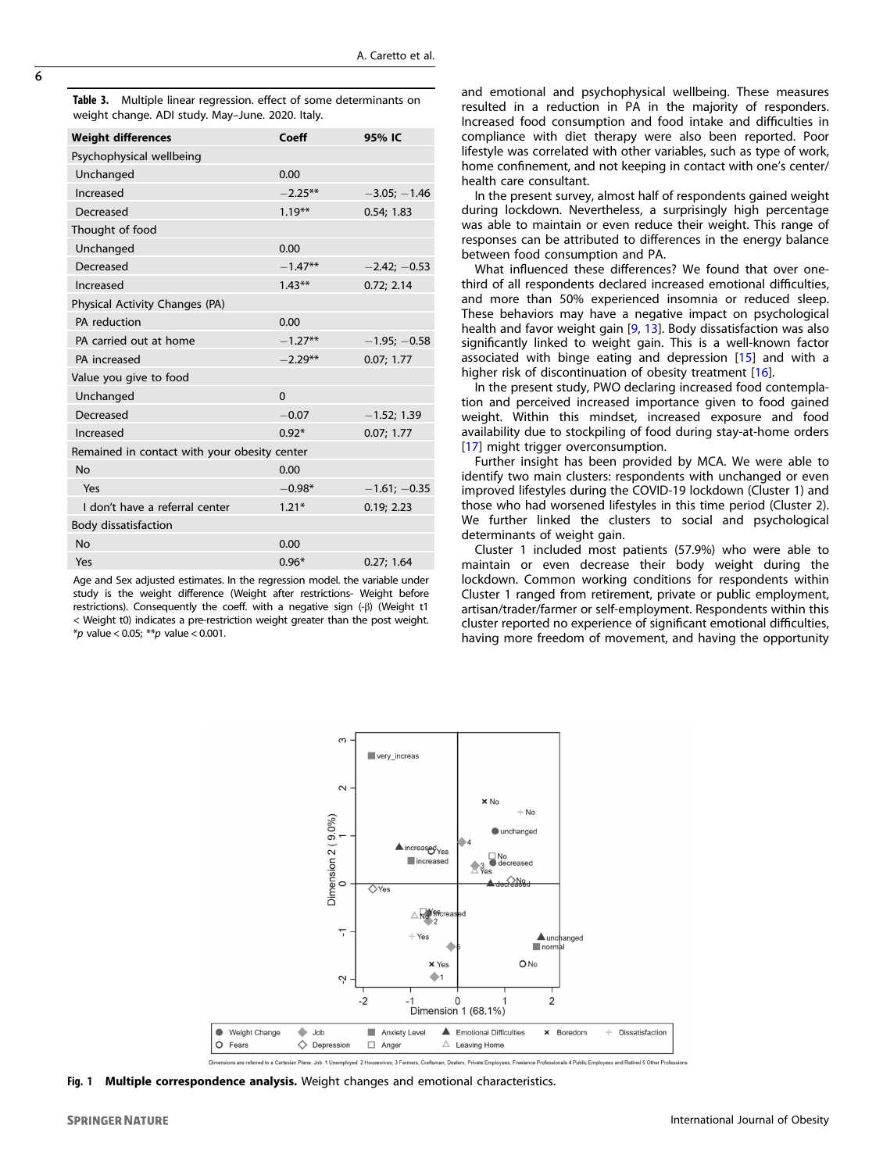<span id="page-5-0"></span>Table 3. Multiple linear regression. effect of some determinants on weight change. ADI study. May–June. 2020. Italy.

| <b>Weight differences</b>                    | Coeff     | 95% IC         |  |  |  |
|----------------------------------------------|-----------|----------------|--|--|--|
| Psychophysical wellbeing                     |           |                |  |  |  |
| Unchanged                                    | 0.00      |                |  |  |  |
| Increased                                    | $-2.25**$ | $-3.05; -1.46$ |  |  |  |
| Decreased                                    | $1.19***$ | 0.54; 1.83     |  |  |  |
| Thought of food                              |           |                |  |  |  |
| Unchanged                                    | 0.00      |                |  |  |  |
| Decreased                                    | $-1.47**$ | $-2.42; -0.53$ |  |  |  |
| Increased                                    | $1.43***$ | 0.72; 2.14     |  |  |  |
| Physical Activity Changes (PA)               |           |                |  |  |  |
| PA reduction                                 | 0.00      |                |  |  |  |
| PA carried out at home                       | $-1.27**$ | $-1.95; -0.58$ |  |  |  |
| PA increased                                 | $-2.29**$ | 0.07; 1.77     |  |  |  |
| Value you give to food                       |           |                |  |  |  |
| Unchanged                                    | $\Omega$  |                |  |  |  |
| Decreased                                    | $-0.07$   | $-1.52; 1.39$  |  |  |  |
| Increased                                    | $0.92*$   | 0.07; 1.77     |  |  |  |
| Remained in contact with your obesity center |           |                |  |  |  |
| No                                           | 0.00      |                |  |  |  |
| Yes                                          | $-0.98*$  | $-1.61; -0.35$ |  |  |  |
| I don't have a referral center               | $1.21*$   | 0.19; 2.23     |  |  |  |
| Body dissatisfaction                         |           |                |  |  |  |
| No                                           | 0.00      |                |  |  |  |
| Yes                                          | $0.96*$   | 0.27:1.64      |  |  |  |

Age and Sex adjusted estimates. In the regression model. the variable under study is the weight difference (Weight after restrictions- Weight before restrictions). Consequently the coeff. with a negative sign (-β) (Weight t1 < Weight t0) indicates a pre-restriction weight greater than the post weight. \*p value < 0.05; \*\*p value < 0.001.

and emotional and psychophysical wellbeing. These measures resulted in a reduction in PA in the majority of responders. Increased food consumption and food intake and difficulties in compliance with diet therapy were also been reported. Poor lifestyle was correlated with other variables, such as type of work, home confinement, and not keeping in contact with one's center/ health care consultant.

In the present survey, almost half of respondents gained weight during lockdown. Nevertheless, a surprisingly high percentage was able to maintain or even reduce their weight. This range of responses can be attributed to differences in the energy balance between food consumption and PA.

What influenced these differences? We found that over onethird of all respondents declared increased emotional difficulties, and more than 50% experienced insomnia or reduced sleep. These behaviors may have a negative impact on psychological health and favor weight gain [[9](#page-6-0), [13\]](#page-7-0). Body dissatisfaction was also significantly linked to weight gain. This is a well-known factor associated with binge eating and depression [\[15\]](#page-7-0) and with a higher risk of discontinuation of obesity treatment [\[16](#page-7-0)].

In the present study, PWO declaring increased food contemplation and perceived increased importance given to food gained weight. Within this mindset, increased exposure and food availability due to stockpiling of food during stay-at-home orders [[17\]](#page-7-0) might trigger overconsumption.

Further insight has been provided by MCA. We were able to identify two main clusters: respondents with unchanged or even improved lifestyles during the COVID-19 lockdown (Cluster 1) and those who had worsened lifestyles in this time period (Cluster 2). We further linked the clusters to social and psychological determinants of weight gain.

Cluster 1 included most patients (57.9%) who were able to maintain or even decrease their body weight during the lockdown. Common working conditions for respondents within Cluster 1 ranged from retirement, private or public employment, artisan/trader/farmer or self-employment. Respondents within this cluster reported no experience of significant emotional difficulties, having more freedom of movement, and having the opportunity



Fig. 1 Multiple correspondence analysis. Weight changes and emotional characteristics.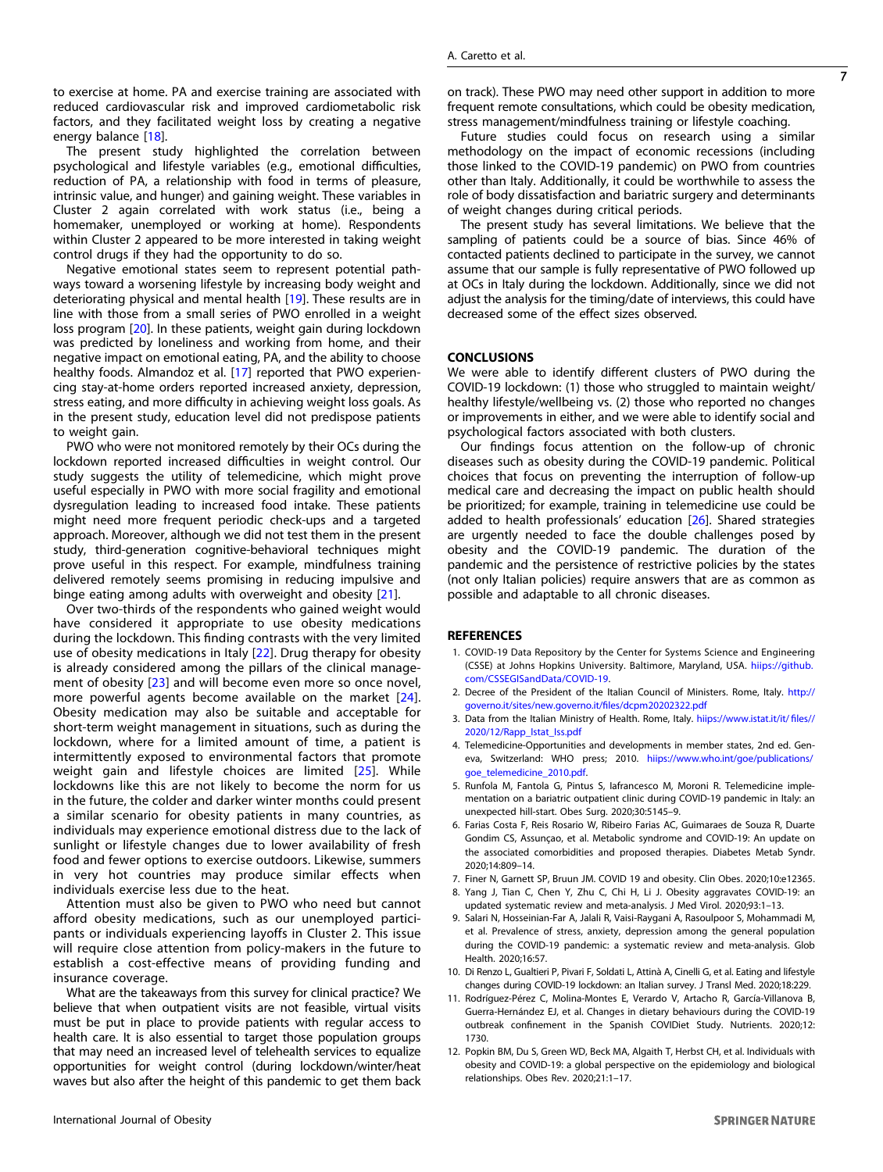<span id="page-6-0"></span>to exercise at home. PA and exercise training are associated with reduced cardiovascular risk and improved cardiometabolic risk factors, and they facilitated weight loss by creating a negative energy balance [\[18\]](#page-7-0).

The present study highlighted the correlation between psychological and lifestyle variables (e.g., emotional difficulties, reduction of PA, a relationship with food in terms of pleasure, intrinsic value, and hunger) and gaining weight. These variables in Cluster 2 again correlated with work status (i.e., being a homemaker, unemployed or working at home). Respondents within Cluster 2 appeared to be more interested in taking weight control drugs if they had the opportunity to do so.

Negative emotional states seem to represent potential pathways toward a worsening lifestyle by increasing body weight and deteriorating physical and mental health [[19](#page-7-0)]. These results are in line with those from a small series of PWO enrolled in a weight loss program [[20](#page-7-0)]. In these patients, weight gain during lockdown was predicted by loneliness and working from home, and their negative impact on emotional eating, PA, and the ability to choose healthy foods. Almandoz et al. [\[17](#page-7-0)] reported that PWO experiencing stay-at-home orders reported increased anxiety, depression, stress eating, and more difficulty in achieving weight loss goals. As in the present study, education level did not predispose patients to weight gain.

PWO who were not monitored remotely by their OCs during the lockdown reported increased difficulties in weight control. Our study suggests the utility of telemedicine, which might prove useful especially in PWO with more social fragility and emotional dysregulation leading to increased food intake. These patients might need more frequent periodic check-ups and a targeted approach. Moreover, although we did not test them in the present study, third-generation cognitive-behavioral techniques might prove useful in this respect. For example, mindfulness training delivered remotely seems promising in reducing impulsive and binge eating among adults with overweight and obesity [[21\]](#page-7-0).

Over two-thirds of the respondents who gained weight would have considered it appropriate to use obesity medications during the lockdown. This finding contrasts with the very limited use of obesity medications in Italy [[22](#page-7-0)]. Drug therapy for obesity is already considered among the pillars of the clinical management of obesity [\[23\]](#page-7-0) and will become even more so once novel, more powerful agents become available on the market [[24](#page-7-0)]. Obesity medication may also be suitable and acceptable for short-term weight management in situations, such as during the lockdown, where for a limited amount of time, a patient is intermittently exposed to environmental factors that promote weight gain and lifestyle choices are limited [[25\]](#page-7-0). While lockdowns like this are not likely to become the norm for us in the future, the colder and darker winter months could present a similar scenario for obesity patients in many countries, as individuals may experience emotional distress due to the lack of sunlight or lifestyle changes due to lower availability of fresh food and fewer options to exercise outdoors. Likewise, summers in very hot countries may produce similar effects when individuals exercise less due to the heat.

Attention must also be given to PWO who need but cannot afford obesity medications, such as our unemployed participants or individuals experiencing layoffs in Cluster 2. This issue will require close attention from policy-makers in the future to establish a cost-effective means of providing funding and insurance coverage.

What are the takeaways from this survey for clinical practice? We believe that when outpatient visits are not feasible, virtual visits must be put in place to provide patients with regular access to health care. It is also essential to target those population groups that may need an increased level of telehealth services to equalize opportunities for weight control (during lockdown/winter/heat waves but also after the height of this pandemic to get them back on track). These PWO may need other support in addition to more frequent remote consultations, which could be obesity medication, stress management/mindfulness training or lifestyle coaching.

Future studies could focus on research using a similar methodology on the impact of economic recessions (including those linked to the COVID-19 pandemic) on PWO from countries other than Italy. Additionally, it could be worthwhile to assess the role of body dissatisfaction and bariatric surgery and determinants of weight changes during critical periods.

The present study has several limitations. We believe that the sampling of patients could be a source of bias. Since 46% of contacted patients declined to participate in the survey, we cannot assume that our sample is fully representative of PWO followed up at OCs in Italy during the lockdown. Additionally, since we did not adjust the analysis for the timing/date of interviews, this could have decreased some of the effect sizes observed.

#### CONCLUSIONS

We were able to identify different clusters of PWO during the COVID-19 lockdown: (1) those who struggled to maintain weight/ healthy lifestyle/wellbeing vs. (2) those who reported no changes or improvements in either, and we were able to identify social and psychological factors associated with both clusters.

Our findings focus attention on the follow-up of chronic diseases such as obesity during the COVID-19 pandemic. Political choices that focus on preventing the interruption of follow-up medical care and decreasing the impact on public health should be prioritized; for example, training in telemedicine use could be added to health professionals' education [[26\]](#page-7-0). Shared strategies are urgently needed to face the double challenges posed by obesity and the COVID-19 pandemic. The duration of the pandemic and the persistence of restrictive policies by the states (not only Italian policies) require answers that are as common as possible and adaptable to all chronic diseases.

#### **REFERENCES**

- 1. COVID-19 Data Repository by the Center for Systems Science and Engineering (CSSE) at Johns Hopkins University. Baltimore, Maryland, USA. hiips://github. com/CSSEGISandData/COVID-19.
- 2. Decree of the President of the Italian Council of Ministers. Rome, Italy. http:// governo.it/sites/new.governo.it/files/dcpm20202322.pdf
- 3. Data from the Italian Ministry of Health. Rome, Italy. hiips://www.istat.it/it/ files// 2020/12/Rapp\_Istat\_Iss.pdf
- 4. Telemedicine-Opportunities and developments in member states, 2nd ed. Geneva, Switzerland: WHO press; 2010. hiips://www.who.int/goe/publications/ goe\_telemedicine\_2010.pdf.
- 5. Runfola M, Fantola G, Pintus S, Iafrancesco M, Moroni R. Telemedicine implementation on a bariatric outpatient clinic during COVID-19 pandemic in Italy: an unexpected hill-start. Obes Surg. 2020;30:5145–9.
- 6. Farias Costa F, Reis Rosario W, Ribeiro Farias AC, Guimaraes de Souza R, Duarte Gondim CS, Assunçao, et al. Metabolic syndrome and COVID-19: An update on the associated comorbidities and proposed therapies. Diabetes Metab Syndr. 2020;14:809–14.
- 7. Finer N, Garnett SP, Bruun JM. COVID 19 and obesity. Clin Obes. 2020;10:e12365.
- 8. Yang J, Tian C, Chen Y, Zhu C, Chi H, Li J. Obesity aggravates COVID-19: an updated systematic review and meta-analysis. J Med Virol. 2020;93:1–13.
- 9. Salari N, Hosseinian-Far A, Jalali R, Vaisi-Raygani A, Rasoulpoor S, Mohammadi M, et al. Prevalence of stress, anxiety, depression among the general population during the COVID-19 pandemic: a systematic review and meta-analysis. Glob Health. 2020;16:57.
- 10. Di Renzo L, Gualtieri P, Pivari F, Soldati L, Attinà A, Cinelli G, et al. Eating and lifestyle changes during COVID-19 lockdown: an Italian survey. J Transl Med. 2020;18:229.
- 11. Rodríguez-Pérez C, Molina-Montes E, Verardo V, Artacho R, García-Villanova B, Guerra-Hernández EJ, et al. Changes in dietary behaviours during the COVID-19 outbreak confinement in the Spanish COVIDiet Study. Nutrients. 2020;12: 1730.
- 12. Popkin BM, Du S, Green WD, Beck MA, Algaith T, Herbst CH, et al. Individuals with obesity and COVID-19: a global perspective on the epidemiology and biological relationships. Obes Rev. 2020;21:1–17.